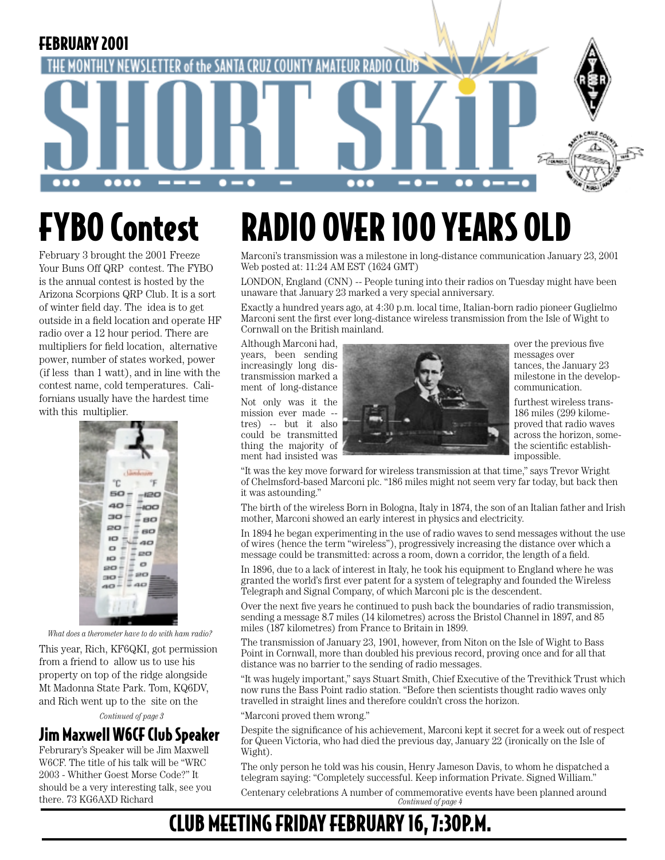

## FYBO Contest

February 3 brought the 2001 Freeze Your Buns Off QRP contest. The FYBO is the annual contest is hosted by the Arizona Scorpions QRP Club. It is a sort of winter field day. The idea is to get outside in a field location and operate HF radio over a 12 hour period. There are multipliers for field location, alternative power, number of states worked, power (if less than 1 watt), and in line with the contest name, cold temperatures. Californians usually have the hardest time with this multiplier.



*What does a therometer have to do with ham radio?*

This year, Rich, KF6QKI, got permission from a friend to allow us to use his property on top of the ridge alongside Mt Madonna State Park. Tom, KQ6DV, and Rich went up to the site on the

*Continued of page 3*

## Jim Maxwell W6CF Club Speaker

Februrary's Speaker will be Jim Maxwell W6CF. The title of his talk will be "WRC 2003 - Whither Goest Morse Code?" It should be a very interesting talk, see you there. 73 KG6AXD Richard

## RADIO OVER 100 YEARS OLD

Marconi's transmission was a milestone in long-distance communication January 23, 2001 Web posted at: 11:24 AM EST (1624 GMT)

LONDON, England (CNN) -- People tuning into their radios on Tuesday might have been unaware that January 23 marked a very special anniversary.

Exactly a hundred years ago, at 4:30 p.m. local time, Italian-born radio pioneer Guglielmo Marconi sent the first ever long-distance wireless transmission from the Isle of Wight to Cornwall on the British mainland.

ment of long-distance

ment had insisted was



milestone in the develop-<br>communication.

proved that radio waves

"It was the key move forward for wireless transmission at that time," says Trevor Wright of Chelmsford-based Marconi plc. "186 miles might not seem very far today, but back then it was astounding."

The birth of the wireless Born in Bologna, Italy in 1874, the son of an Italian father and Irish mother, Marconi showed an early interest in physics and electricity.

In 1894 he began experimenting in the use of radio waves to send messages without the use of wires (hence the term "wireless"), progressively increasing the distance over which a message could be transmitted: across a room, down a corridor, the length of a field.

In 1896, due to a lack of interest in Italy, he took his equipment to England where he was granted the world's first ever patent for a system of telegraphy and founded the Wireless Telegraph and Signal Company, of which Marconi plc is the descendent.

Over the next five years he continued to push back the boundaries of radio transmission, sending a message 8.7 miles (14 kilometres) across the Bristol Channel in 1897, and 85 miles (187 kilometres) from France to Britain in 1899.

The transmission of January 23, 1901, however, from Niton on the Isle of Wight to Bass Point in Cornwall, more than doubled his previous record, proving once and for all that distance was no barrier to the sending of radio messages.

"It was hugely important," says Stuart Smith, Chief Executive of the Trevithick Trust which now runs the Bass Point radio station. "Before then scientists thought radio waves only travelled in straight lines and therefore couldn't cross the horizon.

"Marconi proved them wrong."

Despite the significance of his achievement, Marconi kept it secret for a week out of respect for Queen Victoria, who had died the previous day, January 22 (ironically on the Isle of Wight).

The only person he told was his cousin, Henry Jameson Davis, to whom he dispatched a telegram saying: "Completely successful. Keep information Private. Signed William."

*Continued of page 4* Centenary celebrations A number of commemorative events have been planned around

## CLUB MEETING FRIDAY FEBRUARY 16, 7:30P.M.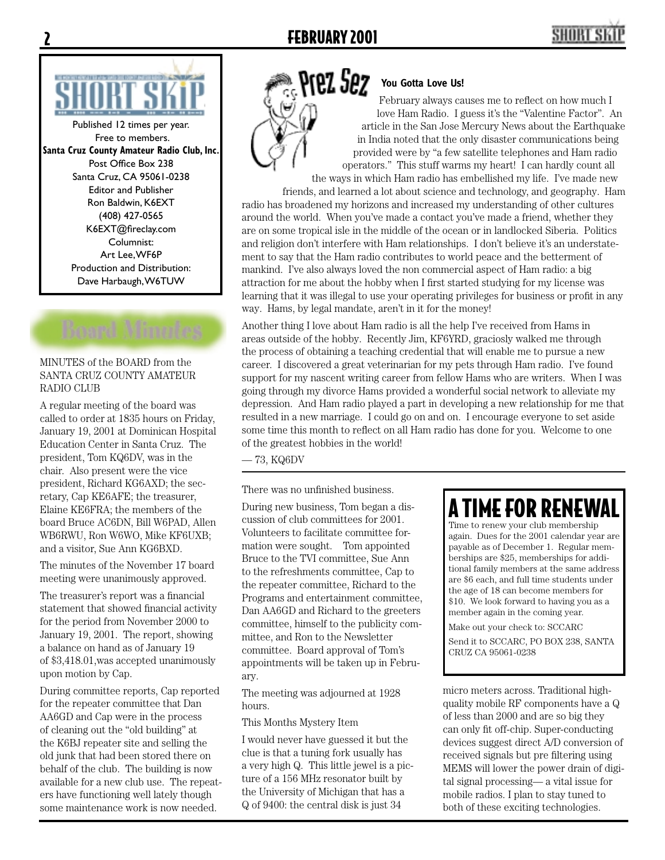

Published 12 times per year. Free to members. **Santa Cruz County Amateur Radio Club, Inc.** Post Office Box 238 Santa Cruz, CA 95061-0238 Editor and Publisher Ron Baldwin, K6EXT (408) 427-0565 K6EXT@fireclay.com Columnist: Art Lee, WF6P Production and Distribution: Dave Harbaugh, W6TUW

#### MINUTES of the BOARD from the SANTA CRUZ COUNTY AMATEUR RADIO CLUB

A regular meeting of the board was called to order at 1835 hours on Friday, January 19, 2001 at Dominican Hospital Education Center in Santa Cruz. The president, Tom KQ6DV, was in the chair. Also present were the vice president, Richard KG6AXD; the secretary, Cap KE6AFE; the treasurer, Elaine KE6FRA; the members of the board Bruce AC6DN, Bill W6PAD, Allen WB6RWU, Ron W6WO, Mike KF6UXB; and a visitor, Sue Ann KG6BXD.

The minutes of the November 17 board meeting were unanimously approved.

The treasurer's report was a financial statement that showed financial activity for the period from November 2000 to January 19, 2001. The report, showing a balance on hand as of January 19 of \$3,418.01,was accepted unanimously upon motion by Cap.

During committee reports, Cap reported for the repeater committee that Dan AA6GD and Cap were in the process of cleaning out the "old building" at the K6BJ repeater site and selling the old junk that had been stored there on behalf of the club. The building is now available for a new club use. The repeaters have functioning well lately though some maintenance work is now needed.



#### **You Gotta Love Us!**

February always causes me to reflect on how much I love Ham Radio. I guess it's the "Valentine Factor". An article in the San Jose Mercury News about the Earthquake in India noted that the only disaster communications being provided were by "a few satellite telephones and Ham radio operators." This stuff warms my heart! I can hardly count all the ways in which Ham radio has embellished my life. I've made new

friends, and learned a lot about science and technology, and geography. Ham radio has broadened my horizons and increased my understanding of other cultures around the world. When you've made a contact you've made a friend, whether they are on some tropical isle in the middle of the ocean or in landlocked Siberia. Politics and religion don't interfere with Ham relationships. I don't believe it's an understatement to say that the Ham radio contributes to world peace and the betterment of mankind. I've also always loved the non commercial aspect of Ham radio: a big attraction for me about the hobby when I first started studying for my license was learning that it was illegal to use your operating privileges for business or profit in any way. Hams, by legal mandate, aren't in it for the money!

Another thing I love about Ham radio is all the help I've received from Hams in areas outside of the hobby. Recently Jim, KF6YRD, graciosly walked me through the process of obtaining a teaching credential that will enable me to pursue a new career. I discovered a great veterinarian for my pets through Ham radio. I've found support for my nascent writing career from fellow Hams who are writers. When I was going through my divorce Hams provided a wonderful social network to alleviate my depression. And Ham radio played a part in developing a new relationship for me that resulted in a new marriage. I could go on and on. I encourage everyone to set aside some time this month to reflect on all Ham radio has done for you. Welcome to one of the greatest hobbies in the world!

— 73, KQ6DV

There was no unfinished business.

During new business, Tom began a discussion of club committees for 2001. Volunteers to facilitate committee formation were sought. Tom appointed Bruce to the TVI committee, Sue Ann to the refreshments committee, Cap to the repeater committee, Richard to the Programs and entertainment committee, Dan AA6GD and Richard to the greeters committee, himself to the publicity committee, and Ron to the Newsletter committee. Board approval of Tom's appointments will be taken up in February.

The meeting was adjourned at 1928 hours.

#### This Months Mystery Item

I would never have guessed it but the clue is that a tuning fork usually has a very high Q. This little jewel is a picture of a 156 MHz resonator built by the University of Michigan that has a Q of 9400: the central disk is just 34

## A TIME FOR REN<del>E</del>

Time to renew your club membership again. Dues for the 2001 calendar year are payable as of December 1. Regular memberships are \$25, memberships for additional family members at the same address are \$6 each, and full time students under the age of 18 can become members for \$10. We look forward to having you as a member again in the coming year.

Make out your check to: SCCARC

Send it to SCCARC, PO BOX 238, SANTA CRUZ CA 95061-0238

micro meters across. Traditional highquality mobile RF components have a Q of less than 2000 and are so big they can only fit off-chip. Super-conducting devices suggest direct A/D conversion of received signals but pre filtering using MEMS will lower the power drain of digital signal processing— a vital issue for mobile radios. I plan to stay tuned to both of these exciting technologies.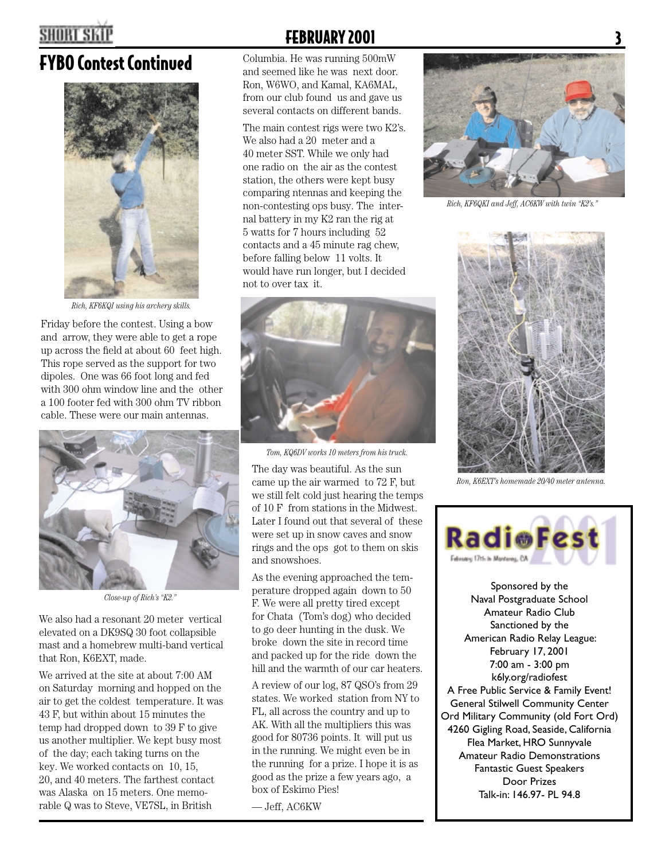## **SHORT SKI**

## FYBO Contest Continued Columbia. He was running 500mW



*Rich, KF6KQI using his archery skills.*

Friday before the contest. Using a bow and arrow, they were able to get a rope up across the field at about 60 feet high. This rope served as the support for two dipoles. One was 66 foot long and fed with 300 ohm window line and the other a 100 footer fed with 300 ohm TV ribbon cable. These were our main antennas.



*Close-up of Rich's "K2."*

We also had a resonant 20 meter vertical elevated on a DK9SQ 30 foot collapsible mast and a homebrew multi-band vertical that Ron, K6EXT, made.

We arrived at the site at about 7:00 AM on Saturday morning and hopped on the air to get the coldest temperature. It was 43 F, but within about 15 minutes the temp had dropped down to 39 F to give us another multiplier. We kept busy most of the day; each taking turns on the key. We worked contacts on 10, 15, 20, and 40 meters. The farthest contact was Alaska on 15 meters. One memorable Q was to Steve, VE7SL, in British

## **FEBRUARY 2001**

and seemed like he was next door. Ron, W6WO, and Kamal, KA6MAL, from our club found us and gave us several contacts on different bands.

The main contest rigs were two K2's. We also had a 20 meter and a 40 meter SST. While we only had one radio on the air as the contest station, the others were kept busy comparing ntennas and keeping the non-contesting ops busy. The internal battery in my K2 ran the rig at 5 watts for 7 hours including 52 contacts and a 45 minute rag chew, before falling below 11 volts. It would have run longer, but I decided not to over tax it.



*Tom, KQ6DV works 10 meters from his truck.*

The day was beautiful. As the sun came up the air warmed to 72 F, but we still felt cold just hearing the temps of 10 F from stations in the Midwest. Later I found out that several of these were set up in snow caves and snow rings and the ops got to them on skis and snowshoes.

As the evening approached the temperature dropped again down to 50 F. We were all pretty tired except for Chata (Tom's dog) who decided to go deer hunting in the dusk. We broke down the site in record time and packed up for the ride down the hill and the warmth of our car heaters.

A review of our log, 87 QSO's from 29 states. We worked station from NY to FL, all across the country and up to AK. With all the multipliers this was good for 80736 points. It will put us in the running. We might even be in the running for a prize. I hope it is as good as the prize a few years ago, a box of Eskimo Pies!

— Jeff, AC6KW



*Rich, KF6QKI and Jeff, AC6KW with twin "K2's."*



*Ron, K6EXT's homemade 20/40 meter antenna.*



Sponsored by the Naval Postgraduate School Amateur Radio Club Sanctioned by the American Radio Relay League: February 17, 2001 7:00 am - 3:00 pm k6ly.org/radiofest A Free Public Service & Family Event! General Stilwell Community Center Ord Military Community (old Fort Ord) 4260 Gigling Road, Seaside, California Flea Market, HRO Sunnyvale Amateur Radio Demonstrations Fantastic Guest Speakers Door Prizes Talk-in: 146.97- PL 94.8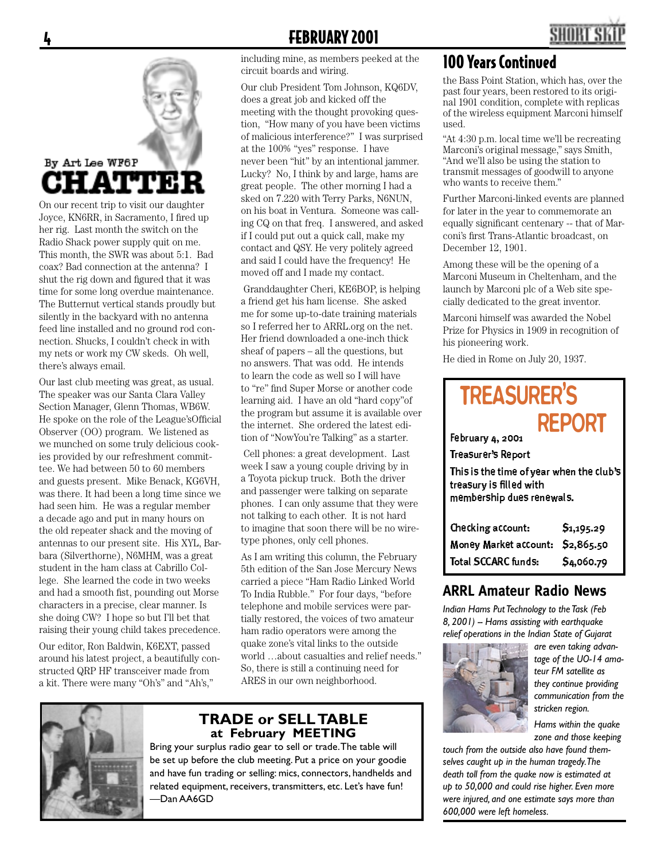# By Art Lee WF6P itavww3

On our recent trip to visit our daughter Joyce, KN6RR, in Sacramento, I fired up her rig. Last month the switch on the Radio Shack power supply quit on me. This month, the SWR was about 5:1. Bad coax? Bad connection at the antenna? I shut the rig down and figured that it was time for some long overdue maintenance. The Butternut vertical stands proudly but silently in the backyard with no antenna feed line installed and no ground rod connection. Shucks, I couldn't check in with my nets or work my CW skeds. Oh well, there's always email.

Our last club meeting was great, as usual. The speaker was our Santa Clara Valley Section Manager, Glenn Thomas, WB6W. He spoke on the role of the League's Official Observer (OO) program. We listened as we munched on some truly delicious cookies provided by our refreshment committee. We had between 50 to 60 members and guests present. Mike Benack, KG6VH, was there. It had been a long time since we had seen him. He was a regular member a decade ago and put in many hours on the old repeater shack and the moving of antennas to our present site. His XYL, Barbara (Silverthorne), N6MHM, was a great student in the ham class at Cabrillo College. She learned the code in two weeks and had a smooth fist, pounding out Morse characters in a precise, clear manner. Is she doing CW? I hope so but I'll bet that raising their young child takes precedence.

Our editor, Ron Baldwin, K6EXT, passed around his latest project, a beautifully constructed QRP HF transceiver made from a kit. There were many "Oh's" and "Ah's,"

### 4 FEBRUARY 2001

including mine, as members peeked at the circuit boards and wiring.

Our club President Tom Johnson, KQ6DV, does a great job and kicked off the meeting with the thought provoking question, "How many of you have been victims of malicious interference?" I was surprised at the 100% "yes" response. I have never been "hit" by an intentional jammer. Lucky? No, I think by and large, hams are great people. The other morning I had a sked on 7.220 with Terry Parks, N6NUN, on his boat in Ventura. Someone was calling CQ on that freq. I answered, and asked if I could put out a quick call, make my contact and QSY. He very politely agreed and said I could have the frequency! He moved off and I made my contact.

 Granddaughter Cheri, KE6BOP, is helping a friend get his ham license. She asked me for some up-to-date training materials so I referred her to ARRL.org on the net. Her friend downloaded a one-inch thick sheaf of papers – all the questions, but no answers. That was odd. He intends to learn the code as well so I will have to "re" find Super Morse or another code learning aid. I have an old "hard copy"of the program but assume it is available over the internet. She ordered the latest edition of "NowYou're Talking" as a starter.

 Cell phones: a great development. Last week I saw a young couple driving by in a Toyota pickup truck. Both the driver and passenger were talking on separate phones. I can only assume that they were not talking to each other. It is not hard to imagine that soon there will be no wiretype phones, only cell phones.

As I am writing this column, the February 5th edition of the San Jose Mercury News carried a piece "Ham Radio Linked World To India Rubble." For four days, "before telephone and mobile services were partially restored, the voices of two amateur ham radio operators were among the quake zone's vital links to the outside world …about casualties and relief needs." So, there is still a continuing need for ARES in our own neighborhood.



#### **TRADE or SELL TABLE at February MEETING**

Bring your surplus radio gear to sell or trade. The table will be set up before the club meeting. Put a price on your goodie and have fun trading or selling: mics, connectors, handhelds and related equipment, receivers, transmitters, etc. Let's have fun! —Dan AA6GD

### 100 Years Continued

the Bass Point Station, which has, over the past four years, been restored to its original 1901 condition, complete with replicas of the wireless equipment Marconi himself used.

"At 4:30 p.m. local time we'll be recreating Marconi's original message," says Smith, "And we'll also be using the station to transmit messages of goodwill to anyone who wants to receive them."

Further Marconi-linked events are planned for later in the year to commemorate an equally significant centenary -- that of Marconi's first Trans-Atlantic broadcast, on December 12, 1901.

Among these will be the opening of a Marconi Museum in Cheltenham, and the launch by Marconi plc of a Web site specially dedicated to the great inventor.

Marconi himself was awarded the Nobel Prize for Physics in 1909 in recognition of his pioneering work.

He died in Rome on July 20, 1937.

#### February 4, 2001 Treasurer's Report This is the time of year when the club's treasury is filled with membership dues renewals. TREASURER'S REPORT

| Checking account:                | \$1,195.29 |
|----------------------------------|------------|
| Money Market account: \$2,865.50 |            |
| <b>Total SCCARC funds:</b>       | \$4,060.79 |

#### **ARRL Amateur Radio News**

*Indian Hams Put Technology to the Task (Feb 8, 2001) -- Hams assisting with earthquake relief operations in the Indian State of Gujarat* 



*are even taking advantage of the UO-14 amateur FM satellite as they continue providing communication from the stricken region.*

*Hams within the quake zone and those keeping* 

*touch from the outside also have found themselves caught up in the human tragedy. The death toll from the quake now is estimated at up to 50,000 and could rise higher. Even more were injured, and one estimate says more than 600,000 were left homeless.*

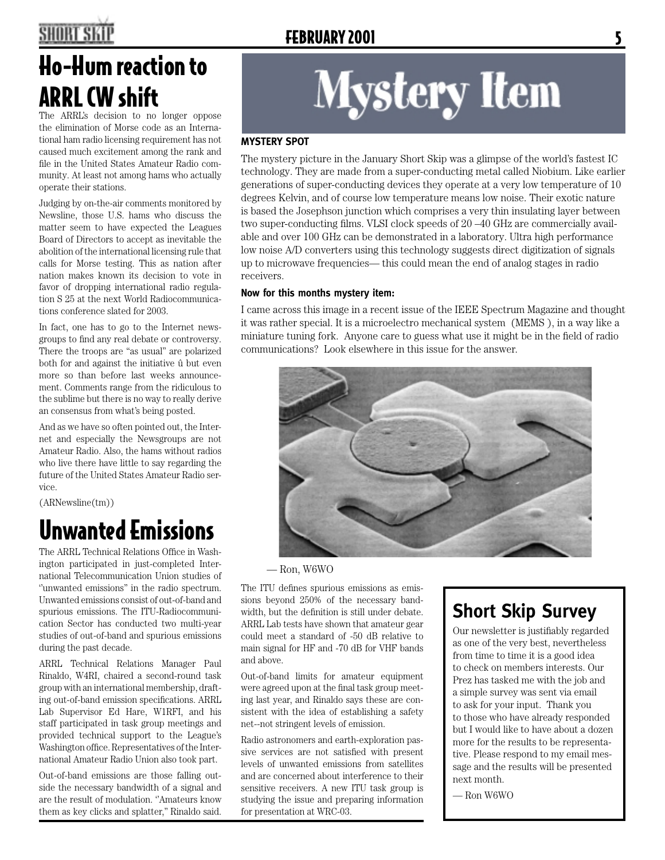## SHORT SK

## **FEBRUARY 2001**

## Ho-Hum reaction to ARRL CW shift

The ARRL's decision to no longer oppose the elimination of Morse code as an International ham radio licensing requirement has not caused much excitement among the rank and file in the United States Amateur Radio community. At least not among hams who actually operate their stations.

Judging by on-the-air comments monitored by Newsline, those U.S. hams who discuss the matter seem to have expected the Leagues Board of Directors to accept as inevitable the abolition of the international licensing rule that calls for Morse testing. This as nation after nation makes known its decision to vote in favor of dropping international radio regulation S 25 at the next World Radiocommunications conference slated for 2003.

In fact, one has to go to the Internet newsgroups to find any real debate or controversy. There the troops are "as usual" are polarized both for and against the initiative û but even more so than before last weeks announcement. Comments range from the ridiculous to the sublime but there is no way to really derive an consensus from what's being posted.

And as we have so often pointed out, the Internet and especially the Newsgroups are not Amateur Radio. Also, the hams without radios who live there have little to say regarding the future of the United States Amateur Radio service.

(ARNewsline(tm))

## Unwanted Emissions

The ARRL Technical Relations Office in Washington participated in just-completed International Telecommunication Union studies of ''unwanted emissions'' in the radio spectrum. Unwanted emissions consist of out-of-band and spurious emissions. The ITU-Radiocommunication Sector has conducted two multi-year studies of out-of-band and spurious emissions during the past decade.

ARRL Technical Relations Manager Paul Rinaldo, W4RI, chaired a second-round task group with an international membership, drafting out-of-band emission specifications. ARRL Lab Supervisor Ed Hare, W1RFI, and his staff participated in task group meetings and provided technical support to the League's Washington office. Representatives of the International Amateur Radio Union also took part.

Out-of-band emissions are those falling outside the necessary bandwidth of a signal and are the result of modulation. ''Amateurs know them as key clicks and splatter,'' Rinaldo said.

# **Mystery Item**

#### **MYSTERY SPOT**

The mystery picture in the January Short Skip was a glimpse of the world's fastest IC technology. They are made from a super-conducting metal called Niobium. Like earlier generations of super-conducting devices they operate at a very low temperature of 10 degrees Kelvin, and of course low temperature means low noise. Their exotic nature is based the Josephson junction which comprises a very thin insulating layer between two super-conducting films. VLSI clock speeds of  $20 - 40$  GHz are commercially available and over 100 GHz can be demonstrated in a laboratory. Ultra high performance low noise A/D converters using this technology suggests direct digitization of signals up to microwave frequencies— this could mean the end of analog stages in radio receivers.

#### **Now for this months mystery item:**

I came across this image in a recent issue of the IEEE Spectrum Magazine and thought it was rather special. It is a microelectro mechanical system (MEMS ), in a way like a miniature tuning fork. Anyone care to guess what use it might be in the field of radio communications? Look elsewhere in this issue for the answer.



— Ron, W6WO

The ITU defines spurious emissions as emissions beyond 250% of the necessary bandwidth, but the definition is still under debate. ARRL Lab tests have shown that amateur gear could meet a standard of -50 dB relative to main signal for HF and -70 dB for VHF bands and above.

Out-of-band limits for amateur equipment were agreed upon at the final task group meeting last year, and Rinaldo says these are consistent with the idea of establishing a safety net--not stringent levels of emission.

Radio astronomers and earth-exploration passive services are not satisfied with present levels of unwanted emissions from satellites and are concerned about interference to their sensitive receivers. A new ITU task group is studying the issue and preparing information for presentation at WRC-03.

## **Short Skip Survey**

Our newsletter is justifiably regarded as one of the very best, nevertheless from time to time it is a good idea to check on members interests. Our Prez has tasked me with the job and a simple survey was sent via email to ask for your input. Thank you to those who have already responded but I would like to have about a dozen more for the results to be representative. Please respond to my email message and the results will be presented next month.

— Ron W6WO